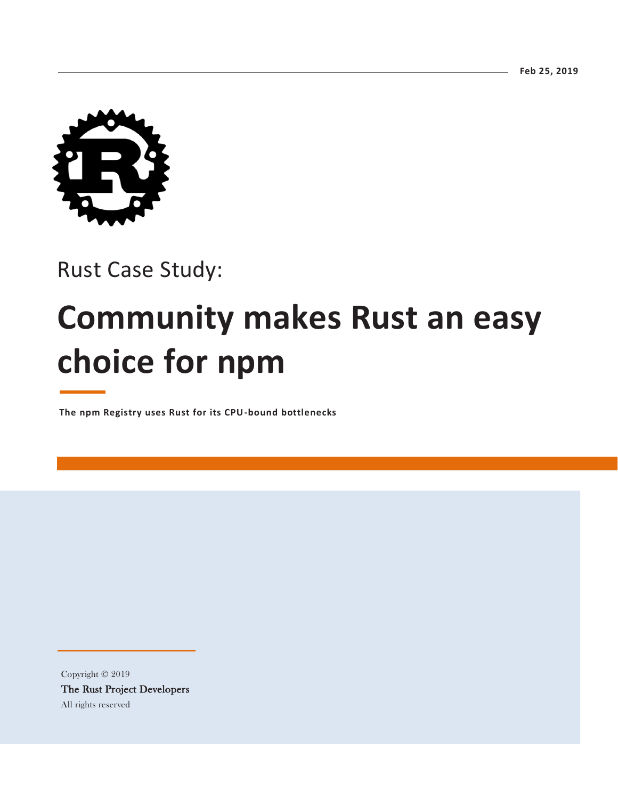

## Rust Case Study:

# **Community makes Rust an easy choice for npm**

**The npm Registry uses Rust for its CPU-bound bottlenecks**

Copyright © 2019 The Rust Project Developers All rights reserved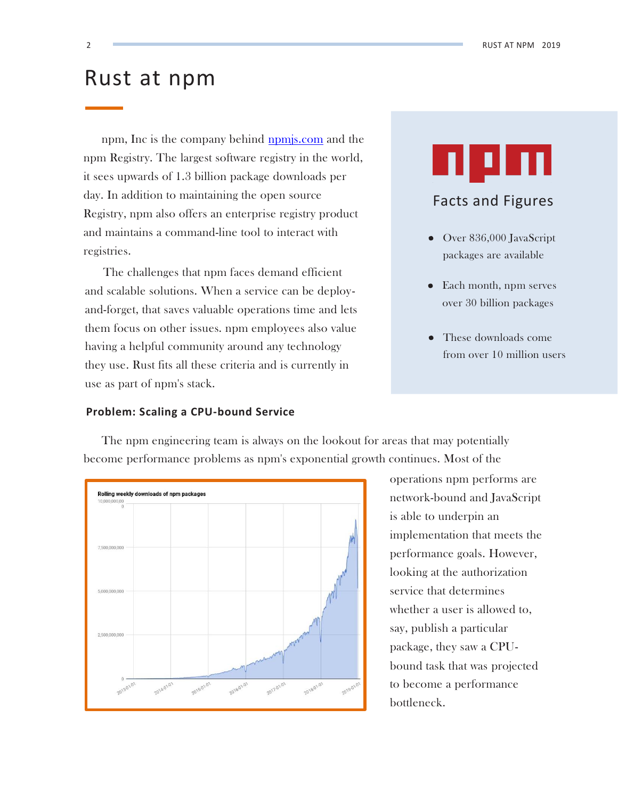## Rust at npm

npm, Inc is the company behind [npmjs.com](https://www.npmjs.com/) and the npm Registry. The largest software registry in the world, it sees upwards of 1.3 billion package downloads per day. In addition to maintaining the open source Registry, npm also offers an enterprise registry product and maintains a command-line tool to interact with registries.

The challenges that npm faces demand efficient and scalable solutions. When a service can be deployand-forget, that saves valuable operations time and lets them focus on other issues. npm employees also value having a helpful community around any technology they use. Rust fits all these criteria and is currently in use as part of npm's stack.

## **Problem: Scaling a CPU-bound Service**



## Facts and Figures

- Over 836,000 JavaScript packages are available
- Each month, npm serves over 30 billion packages
- These downloads come from over 10 million users

Rolling weekly downloads of npm packages 7,500,000,000 5,000,000,000 2,500,000,000

The npm engineering team is always on the lookout for areas that may potentially become performance problems as npm's exponential growth continues. Most of the

2019-01-0

operations npm performs are network-bound and JavaScript is able to underpin an implementation that meets the performance goals. However, looking at the authorization service that determines whether a user is allowed to, say, publish a particular package, they saw a CPUbound task that was projected to become a performance bottleneck.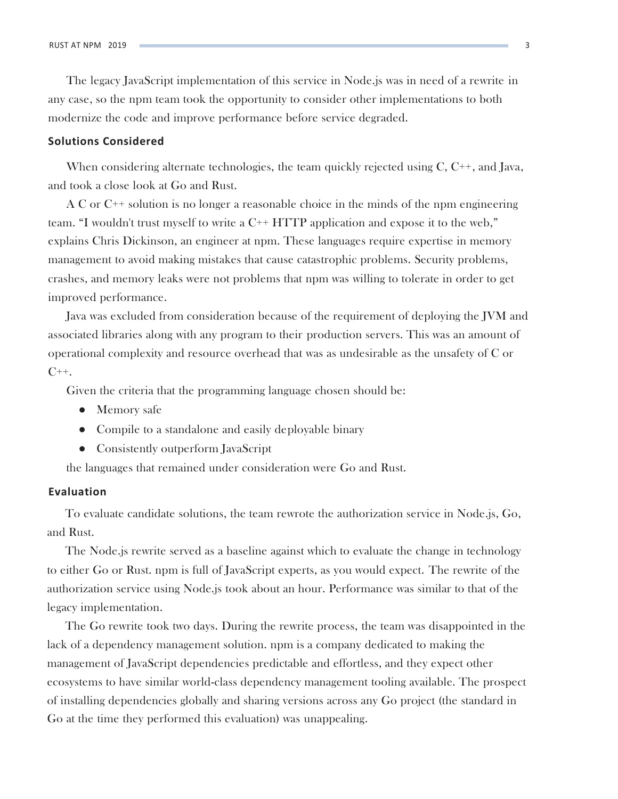The legacy JavaScript implementation of this service in Node.js was in need of a rewrite in any case, so the npm team took the opportunity to consider other implementations to both modernize the code and improve performance before service degraded.

## **Solutions Considered**

When considering alternate technologies, the team quickly rejected using C, C<sup>++</sup>, and Java, and took a close look at Go and Rust.

A C or C++ solution is no longer a reasonable choice in the minds of the npm engineering team. "I wouldn't trust myself to write a C++ HTTP application and expose it to the web," explains Chris Dickinson, an engineer at npm. These languages require expertise in memory management to avoid making mistakes that cause catastrophic problems. Security problems, crashes, and memory leaks were not problems that npm was willing to tolerate in order to get improved performance.

Java was excluded from consideration because of the requirement of deploying the JVM and associated libraries along with any program to their production servers. This was an amount of operational complexity and resource overhead that was as undesirable as the unsafety of C or  $C_{++}$ .

Given the criteria that the programming language chosen should be:

- Memory safe
- Compile to a standalone and easily deployable binary
- Consistently outperform JavaScript

the languages that remained under consideration were Go and Rust.

## **Evaluation**

To evaluate candidate solutions, the team rewrote the authorization service in Node.js, Go, and Rust.

The Node.js rewrite served as a baseline against which to evaluate the change in technology to either Go or Rust. npm is full of JavaScript experts, as you would expect. The rewrite of the authorization service using Node.js took about an hour. Performance was similar to that of the legacy implementation.

The Go rewrite took two days. During the rewrite process, the team was disappointed in the lack of a dependency management solution. npm is a company dedicated to making the management of JavaScript dependencies predictable and effortless, and they expect other ecosystems to have similar world-class dependency management tooling available. The prospect of installing dependencies globally and sharing versions across any Go project (the standard in Go at the time they performed this evaluation) was unappealing.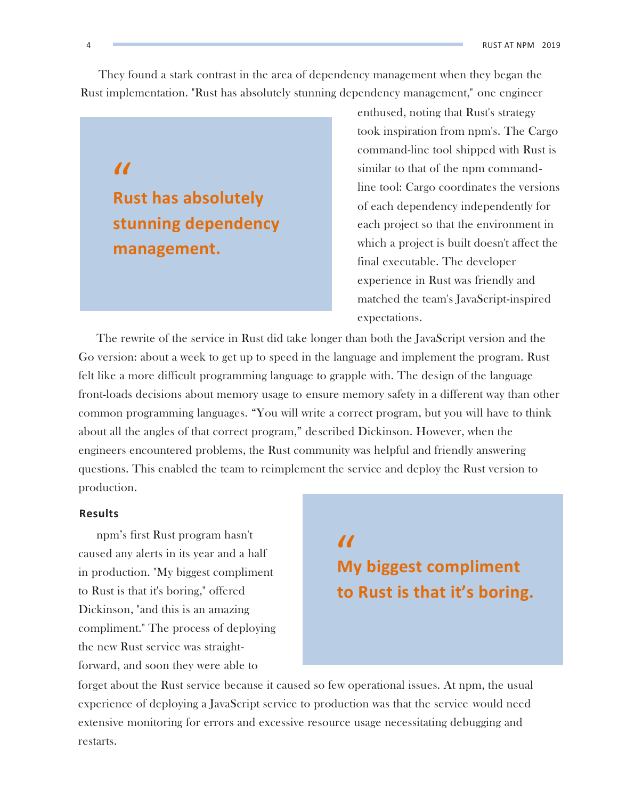They found a stark contrast in the area of dependency management when they began the Rust implementation. "Rust has absolutely stunning dependency management," one engineer

## *K* Rust has absolutely **stunning dependency management.**

enthused, noting that Rust's strategy took inspiration from npm's. The Cargo command-line tool shipped with Rust is similar to that of the npm commandline tool: Cargo coordinates the versions of each dependency independently for each project so that the environment in which a project is built doesn't affect the final executable. The developer experience in Rust was friendly and matched the team's JavaScript-inspired expectations.

The rewrite of the service in Rust did take longer than both the JavaScript version and the Go version: about a week to get up to speed in the language and implement the program. Rust felt like a more difficult programming language to grapple with. The design of the language front-loads decisions about memory usage to ensure memory safety in a different way than other common programming languages. "You will write a correct program, but you will have to think about all the angles of that correct program," described Dickinson. However, when the engineers encountered problems, the Rust community was helpful and friendly answering questions. This enabled the team to reimplement the service and deploy the Rust version to production.

## **Results**

npm's first Rust program hasn't<br>sed any alerts in its year and a half<br>roduction. "My biggest compliment **M**y caused any alerts in its year and a half in production. "My biggest compliment to Rust is that it's boring," offered Dickinson, "and this is an amazing compliment." The process of deploying the new Rust service was straightforward, and soon they were able to

# **My biggest compliment to Rust is that it's boring.**

forget about the Rust service because it caused so few operational issues. At npm, the usual experience of deploying a JavaScript service to production was that the service would need extensive monitoring for errors and excessive resource usage necessitating debugging and restarts.